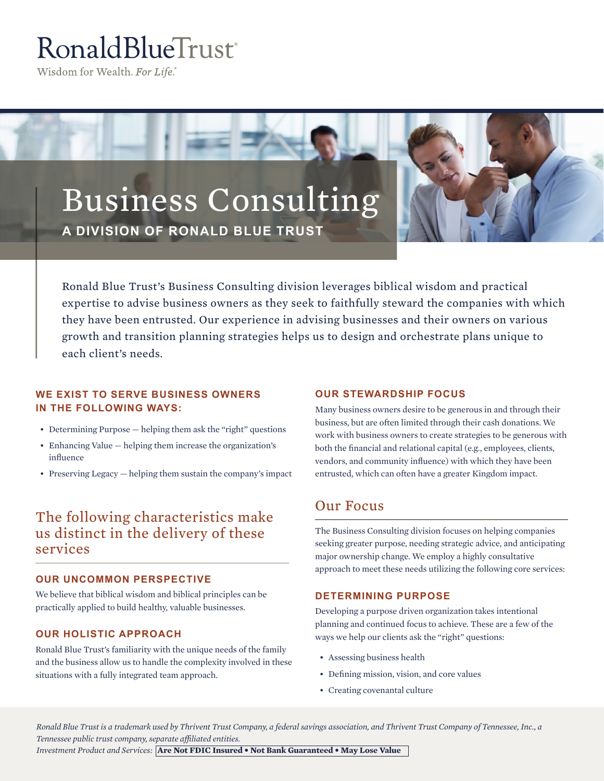# RonaldBlueTrust<sup>®</sup>

Wisdom for Wealth. For Life.®

## Business Consulting **A DIVISION OF RONALD BLUE TRUST**



Ronald Blue Trust's Business Consulting division leverages biblical wisdom and practical expertise to advise business owners as they seek to faithfully steward the companies with which they have been entrusted. Our experience in advising businesses and their owners on various growth and transition planning strategies helps us to design and orchestrate plans unique to each client's needs.

#### **WE EXIST TO SERVE BUSINESS OWNERS IN THE FOLLOWING WAYS:**

- Determining Purpose helping them ask the "right" questions
- Enhancing Value helping them increase the organization's influence
- Preserving Legacy helping them sustain the company's impact

## The following characteristics make us distinct in the delivery of these services

#### **OUR UNCOMMON PERSPECTIVE**

We believe that biblical wisdom and biblical principles can be practically applied to build healthy, valuable businesses.

#### **OUR HOLISTIC APPROACH**

Ronald Blue Trust's familiarity with the unique needs of the family and the business allow us to handle the complexity involved in these situations with a fully integrated team approach.

#### **OUR STEWARDSHIP FOCUS**

Many business owners desire to be generous in and through their business, but are often limited through their cash donations. We work with business owners to create strategies to be generous with both the financial and relational capital (e.g., employees, clients, vendors, and community influence) with which they have been entrusted, which can often have a greater Kingdom impact.

### Our Focus

The Business Consulting division focuses on helping companies seeking greater purpose, needing strategic advice, and anticipating major ownership change. We employ a highly consultative approach to meet these needs utilizing the following core services:

#### **DETERMINING PURPOSE**

Developing a purpose driven organization takes intentional planning and continued focus to achieve. These are a few of the ways we help our clients ask the "right" questions:

- Assessing business health
- Defining mission, vision, and core values
- Creating covenantal culture

*Ronald Blue Trust is a trademark used by Thrivent Trust Company, a federal savings association, and Thrivent Trust Company of Tennessee, Inc., a Tennessee public trust company, separate affiliated entities.* 

*Investment Product and Services:* **Are Not FDIC Insured • Not Bank Guaranteed • May Lose Value**